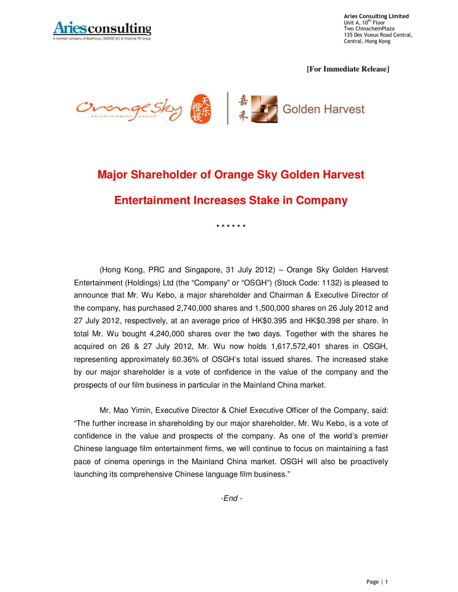

**Aries Consulting Limited** Unit A, 10<sup>th</sup> Floor Two ChinachemPlaza 135 Des Voeux Road Central, Central, Hong Kong

**[For Immediate Release]** 



## **Major Shareholder of Orange Sky Golden Harvest Entertainment Increases Stake in Company**

**\* \* \* \* \* \*** 

(Hong Kong, PRC and Singapore, 31 July 2012) – Orange Sky Golden Harvest Entertainment (Holdings) Ltd (the "Company" or "OSGH") (Stock Code: 1132) is pleased to announce that Mr. Wu Kebo, a major shareholder and Chairman & Executive Director of the company, has purchased 2,740,000 shares and 1,500,000 shares on 26 July 2012 and 27 July 2012, respectively, at an average price of HK\$0.395 and HK\$0.398 per share. In total Mr. Wu bought 4,240,000 shares over the two days. Together with the shares he acquired on 26 & 27 July 2012, Mr. Wu now holds 1,617,572,401 shares in OSGH, representing approximately 60.36% of OSGH's total issued shares. The increased stake by our major shareholder is a vote of confidence in the value of the company and the prospects of our film business in particular in the Mainland China market.

Mr. Mao Yimin, Executive Director & Chief Executive Officer of the Company, said: "The further increase in shareholding by our major shareholder, Mr. Wu Kebo, is a vote of confidence in the value and prospects of the company. As one of the world's premier Chinese language film entertainment firms, we will continue to focus on maintaining a fast pace of cinema openings in the Mainland China market. OSGH will also be proactively launching its comprehensive Chinese language film business."

 $-End -$